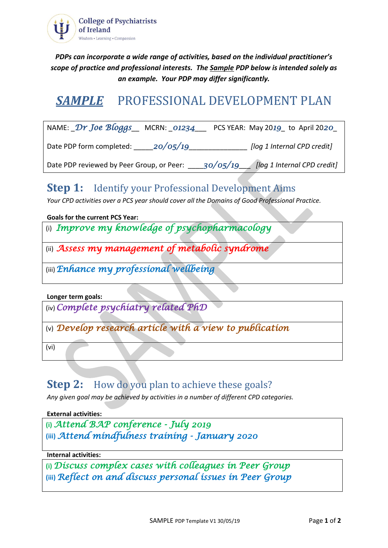

*PDPs can incorporate a wide range of activities, based on the individual practitioner's scope of practice and professional interests. The Sample PDP below is intended solely as an example. Your PDP may differ significantly.*

# *SAMPLE* PROFESSIONAL DEVELOPMENT PLAN

| NAME: $Dr$ Joe Bloggs MCRN: 01234         |          | PCS YEAR: May 2019 to April 2020        |
|-------------------------------------------|----------|-----------------------------------------|
| Date PDP form completed:                  | 20/05/19 | [log 1 Internal CPD credit]             |
| Date PDP reviewed by Peer Group, or Peer: |          | 30/05/19<br>[log 1 Internal CPD credit] |

### **Step 1:** Identify your Professional Development Aims

*Your CPD activities over a PCS year should cover all the Domains of Good Professional Practice.* 

**Goals for the current PCS Year:**

(i) *Improve my knowledge of psychopharmacology*

(ii) *Assess my management of metabolic syndrome* 

(iii)*Enhance my professional wellbeing*

**Longer term goals:**

(iv)*Complete psychiatry related PhD*

(v) *Develop research article with a view to publication*

(vi)

## **Step 2:** How do you plan to achieve these goals?

*Any given goal may be achieved by activities in a number of different CPD categories.* 

**External activities:**

```
(i) Attend BAP conference - July 2019 
(iii) Attend mindfulness training - January 2020
```
**Internal activities:**

**(i)** *Discuss complex cases with colleagues in Peer Group* **(iii)** *Reflect on and discuss personal issues in Peer Group*